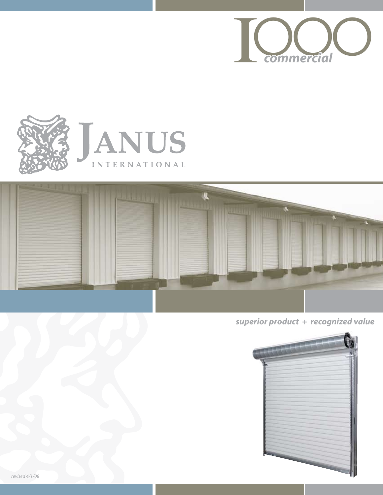





*superior product + recognized value*

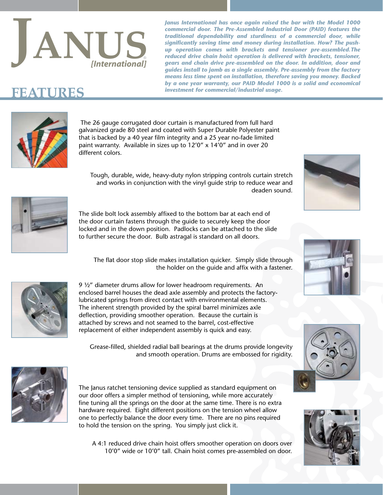

*Janus International has once again raised the bar with the Model 1000 commercial door. The Pre-Assembled Industrial Door (PAID) features the traditional dependability and sturdiness of a commercial door, while significantly saving time and money during installation. How? The pushup operation comes with brackets and tensioner pre-assembled.The reduced drive chain hoist operation is delivered with brackets, tensioner, gears and chain drive pre-assembled on the door. In addition, door and guides install to jamb as a single assembly. Pre-assembly from the factory means less time spent on installation, therefore saving you money. Backed by a one year warranty, our PAID Model 1000 is a solid and economical*   $\mathbf{FFATURES}$  **investment for commercial/industrial usage.** 



 The 26 gauge corrugated door curtain is manufactured from full hard galvanized grade 80 steel and coated with Super Durable Polyester paint that is backed by a 40 year film integrity and a 25 year no-fade limited paint warranty. Available in sizes up to 12'0" x 14'0" and in over 20 different colors.

Tough, durable, wide, heavy-duty nylon stripping controls curtain stretch and works in conjunction with the vinyl guide strip to reduce wear and deaden sound.



The slide bolt lock assembly affixed to the bottom bar at each end of the door curtain fastens through the guide to securely keep the door locked and in the down position. Padlocks can be attached to the slide to further secure the door. Bulb astragal is standard on all doors.

The flat door stop slide makes installation quicker. Simply slide through the holder on the guide and affix with a fastener.



9 ½" diameter drums allow for lower headroom requirements. An enclosed barrel houses the dead axle assembly and protects the factorylubricated springs from direct contact with environmental elements. The inherent strength provided by the spiral barrel minimizes axle deflection, providing smoother operation. Because the curtain is attached by screws and not seamed to the barrel, cost-effective replacement of either independent assembly is quick and easy.

Grease-filled, shielded radial ball bearings at the drums provide longevity and smooth operation. Drums are embossed for rigidity.



The Janus ratchet tensioning device supplied as standard equipment on our door offers a simpler method of tensioning, while more accurately fine tuning all the springs on the door at the same time. There is no extra hardware required. Eight different positions on the tension wheel allow one to perfectly balance the door every time. There are no pins required to hold the tension on the spring. You simply just click it.



A 4:1 reduced drive chain hoist offers smoother operation on doors over 10'0" wide or 10'0" tall. Chain hoist comes pre-assembled on door.





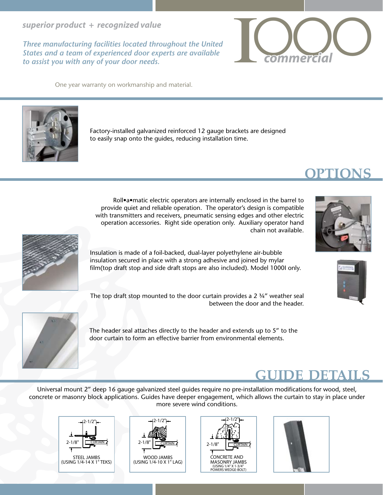*superior product + recognized value*

*Three manufacturing facilities located throughout the United States and a team of experienced door experts are available to assist you with any of your door needs.*

One year warranty on workmanship and material.



Roll•a•matic electric operators are internally enclosed in the barrel to provide quiet and reliable operation. The operator's design is compatible with transmitters and receivers, pneumatic sensing edges and other electric operation accessories. Right side operation only. Auxiliary operator hand chain not available.

Insulation is made of a foil-backed, dual-layer polyethylene air-bubble insulation secured in place with a strong adhesive and joined by mylar film(top draft stop and side draft stops are also included). Model 1000I only.

The top draft stop mounted to the door curtain provides a 2 $3/4$ " weather seal between the door and the header.

The header seal attaches directly to the header and extends up to 5" to the door curtain to form an effective barrier from environmental elements.

# **guide details**

Universal mount 2" deep 16 gauge galvanized steel guides require no pre-installation modifications for wood, steel, concrete or masonry block applications. Guides have deeper engagement, which allows the curtain to stay in place under more severe wind conditions.

 $(USING 1/4" X 1-3/4)$ 

2-1/2"

CURTAIN